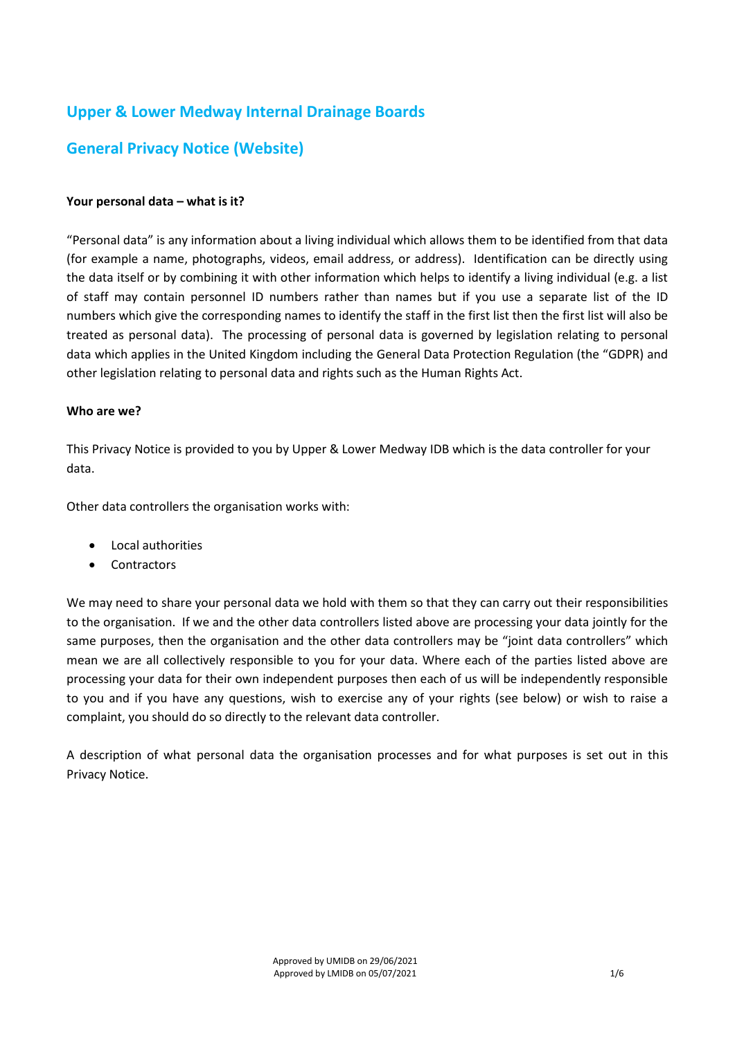# **Upper & Lower Medway Internal Drainage Boards**

# **General Privacy Notice (Website)**

### **Your personal data – what is it?**

"Personal data" is any information about a living individual which allows them to be identified from that data (for example a name, photographs, videos, email address, or address). Identification can be directly using the data itself or by combining it with other information which helps to identify a living individual (e.g. a list of staff may contain personnel ID numbers rather than names but if you use a separate list of the ID numbers which give the corresponding names to identify the staff in the first list then the first list will also be treated as personal data). The processing of personal data is governed by legislation relating to personal data which applies in the United Kingdom including the General Data Protection Regulation (the "GDPR) and other legislation relating to personal data and rights such as the Human Rights Act.

#### **Who are we?**

This Privacy Notice is provided to you by Upper & Lower Medway IDB which is the data controller for your data.

Other data controllers the organisation works with:

- Local authorities
- Contractors

We may need to share your personal data we hold with them so that they can carry out their responsibilities to the organisation. If we and the other data controllers listed above are processing your data jointly for the same purposes, then the organisation and the other data controllers may be "joint data controllers" which mean we are all collectively responsible to you for your data. Where each of the parties listed above are processing your data for their own independent purposes then each of us will be independently responsible to you and if you have any questions, wish to exercise any of your rights (see below) or wish to raise a complaint, you should do so directly to the relevant data controller.

A description of what personal data the organisation processes and for what purposes is set out in this Privacy Notice.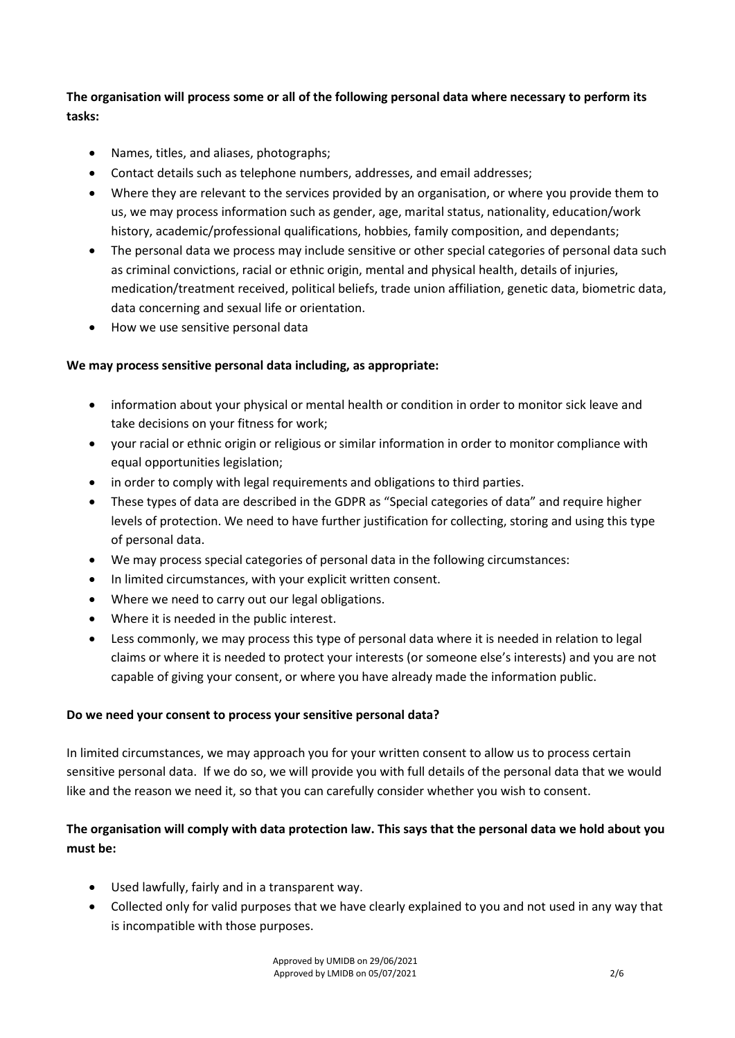**The organisation will process some or all of the following personal data where necessary to perform its tasks:**

- Names, titles, and aliases, photographs;
- Contact details such as telephone numbers, addresses, and email addresses;
- Where they are relevant to the services provided by an organisation, or where you provide them to us, we may process information such as gender, age, marital status, nationality, education/work history, academic/professional qualifications, hobbies, family composition, and dependants;
- The personal data we process may include sensitive or other special categories of personal data such as criminal convictions, racial or ethnic origin, mental and physical health, details of injuries, medication/treatment received, political beliefs, trade union affiliation, genetic data, biometric data, data concerning and sexual life or orientation.
- How we use sensitive personal data

#### **We may process sensitive personal data including, as appropriate:**

- information about your physical or mental health or condition in order to monitor sick leave and take decisions on your fitness for work;
- your racial or ethnic origin or religious or similar information in order to monitor compliance with equal opportunities legislation;
- in order to comply with legal requirements and obligations to third parties.
- These types of data are described in the GDPR as "Special categories of data" and require higher levels of protection. We need to have further justification for collecting, storing and using this type of personal data.
- We may process special categories of personal data in the following circumstances:
- In limited circumstances, with your explicit written consent.
- Where we need to carry out our legal obligations.
- Where it is needed in the public interest.
- Less commonly, we may process this type of personal data where it is needed in relation to legal claims or where it is needed to protect your interests (or someone else's interests) and you are not capable of giving your consent, or where you have already made the information public.

#### **Do we need your consent to process your sensitive personal data?**

In limited circumstances, we may approach you for your written consent to allow us to process certain sensitive personal data. If we do so, we will provide you with full details of the personal data that we would like and the reason we need it, so that you can carefully consider whether you wish to consent.

## **The organisation will comply with data protection law. This says that the personal data we hold about you must be:**

- Used lawfully, fairly and in a transparent way.
- Collected only for valid purposes that we have clearly explained to you and not used in any way that is incompatible with those purposes.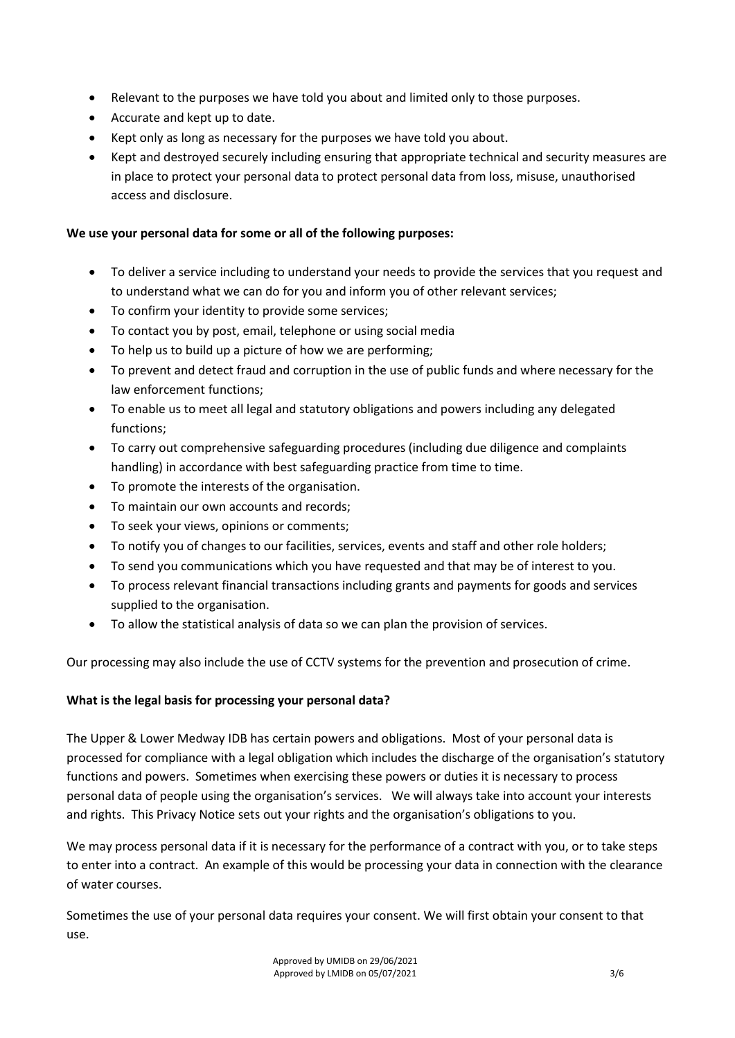- Relevant to the purposes we have told you about and limited only to those purposes.
- Accurate and kept up to date.
- Kept only as long as necessary for the purposes we have told you about.
- Kept and destroyed securely including ensuring that appropriate technical and security measures are in place to protect your personal data to protect personal data from loss, misuse, unauthorised access and disclosure.

#### **We use your personal data for some or all of the following purposes:**

- To deliver a service including to understand your needs to provide the services that you request and to understand what we can do for you and inform you of other relevant services;
- To confirm your identity to provide some services;
- To contact you by post, email, telephone or using social media
- To help us to build up a picture of how we are performing;
- To prevent and detect fraud and corruption in the use of public funds and where necessary for the law enforcement functions;
- To enable us to meet all legal and statutory obligations and powers including any delegated functions;
- To carry out comprehensive safeguarding procedures (including due diligence and complaints handling) in accordance with best safeguarding practice from time to time.
- To promote the interests of the organisation.
- To maintain our own accounts and records;
- To seek your views, opinions or comments;
- To notify you of changes to our facilities, services, events and staff and other role holders;
- To send you communications which you have requested and that may be of interest to you.
- To process relevant financial transactions including grants and payments for goods and services supplied to the organisation.
- To allow the statistical analysis of data so we can plan the provision of services.

Our processing may also include the use of CCTV systems for the prevention and prosecution of crime.

## **What is the legal basis for processing your personal data?**

The Upper & Lower Medway IDB has certain powers and obligations. Most of your personal data is processed for compliance with a legal obligation which includes the discharge of the organisation's statutory functions and powers. Sometimes when exercising these powers or duties it is necessary to process personal data of people using the organisation's services. We will always take into account your interests and rights. This Privacy Notice sets out your rights and the organisation's obligations to you.

We may process personal data if it is necessary for the performance of a contract with you, or to take steps to enter into a contract. An example of this would be processing your data in connection with the clearance of water courses.

Sometimes the use of your personal data requires your consent. We will first obtain your consent to that use.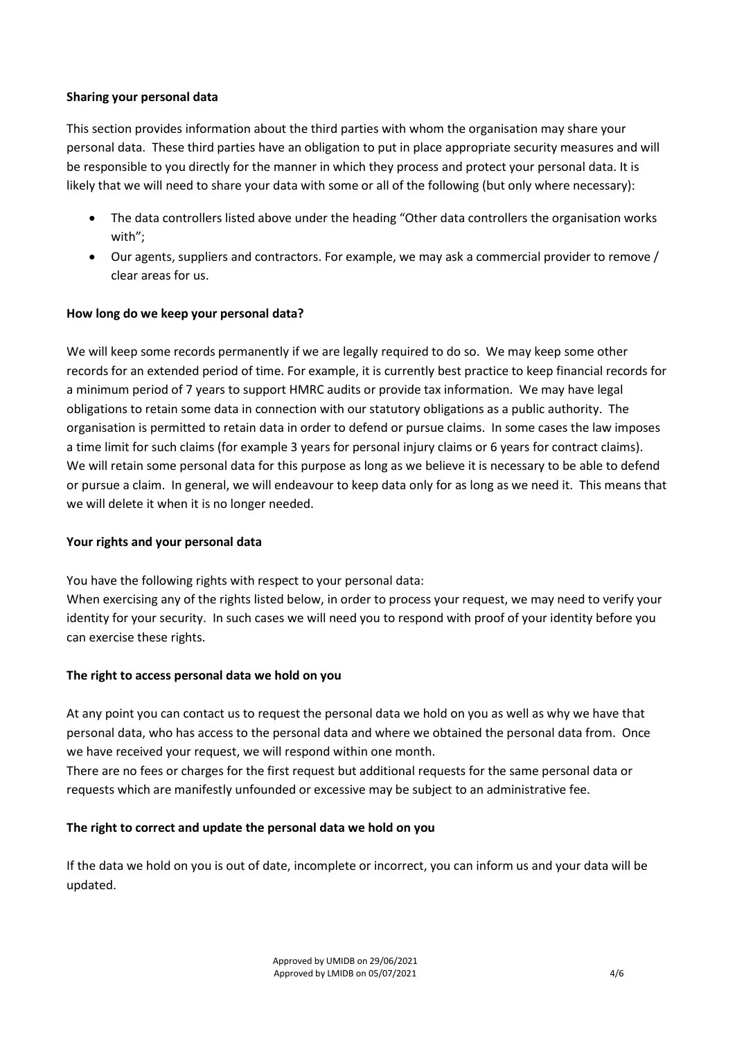#### **Sharing your personal data**

This section provides information about the third parties with whom the organisation may share your personal data. These third parties have an obligation to put in place appropriate security measures and will be responsible to you directly for the manner in which they process and protect your personal data. It is likely that we will need to share your data with some or all of the following (but only where necessary):

- The data controllers listed above under the heading "Other data controllers the organisation works with";
- Our agents, suppliers and contractors. For example, we may ask a commercial provider to remove / clear areas for us.

## **How long do we keep your personal data?**

We will keep some records permanently if we are legally required to do so. We may keep some other records for an extended period of time. For example, it is currently best practice to keep financial records for a minimum period of 7 years to support HMRC audits or provide tax information. We may have legal obligations to retain some data in connection with our statutory obligations as a public authority. The organisation is permitted to retain data in order to defend or pursue claims. In some cases the law imposes a time limit for such claims (for example 3 years for personal injury claims or 6 years for contract claims). We will retain some personal data for this purpose as long as we believe it is necessary to be able to defend or pursue a claim. In general, we will endeavour to keep data only for as long as we need it. This means that we will delete it when it is no longer needed.

#### **Your rights and your personal data**

You have the following rights with respect to your personal data:

When exercising any of the rights listed below, in order to process your request, we may need to verify your identity for your security. In such cases we will need you to respond with proof of your identity before you can exercise these rights.

#### **The right to access personal data we hold on you**

At any point you can contact us to request the personal data we hold on you as well as why we have that personal data, who has access to the personal data and where we obtained the personal data from. Once we have received your request, we will respond within one month.

There are no fees or charges for the first request but additional requests for the same personal data or requests which are manifestly unfounded or excessive may be subject to an administrative fee.

#### **The right to correct and update the personal data we hold on you**

If the data we hold on you is out of date, incomplete or incorrect, you can inform us and your data will be updated.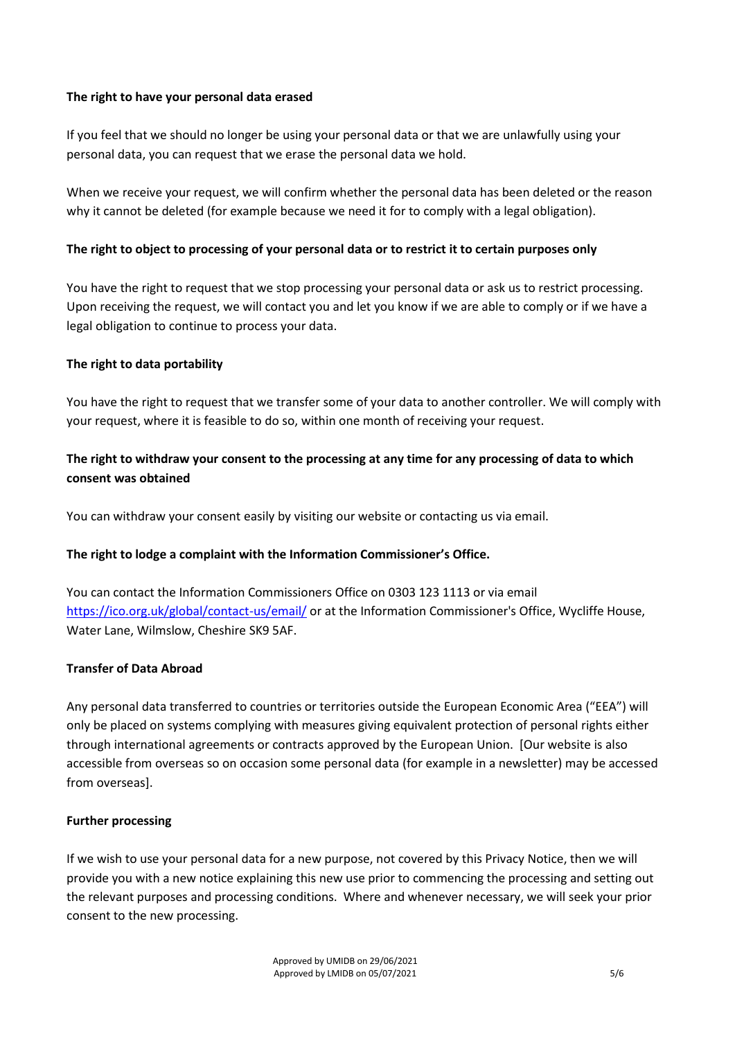#### **The right to have your personal data erased**

If you feel that we should no longer be using your personal data or that we are unlawfully using your personal data, you can request that we erase the personal data we hold.

When we receive your request, we will confirm whether the personal data has been deleted or the reason why it cannot be deleted (for example because we need it for to comply with a legal obligation).

### **The right to object to processing of your personal data or to restrict it to certain purposes only**

You have the right to request that we stop processing your personal data or ask us to restrict processing. Upon receiving the request, we will contact you and let you know if we are able to comply or if we have a legal obligation to continue to process your data.

#### **The right to data portability**

You have the right to request that we transfer some of your data to another controller. We will comply with your request, where it is feasible to do so, within one month of receiving your request.

## **The right to withdraw your consent to the processing at any time for any processing of data to which consent was obtained**

You can withdraw your consent easily by visiting our website or contacting us via email.

#### **The right to lodge a complaint with the Information Commissioner's Office.**

You can contact the Information Commissioners Office on 0303 123 1113 or via email https://ico.org.uk/global/contact-us/email/ or at the Information Commissioner's Office, Wycliffe House, Water Lane, Wilmslow, Cheshire SK9 5AF.

#### **Transfer of Data Abroad**

Any personal data transferred to countries or territories outside the European Economic Area ("EEA") will only be placed on systems complying with measures giving equivalent protection of personal rights either through international agreements or contracts approved by the European Union. [Our website is also accessible from overseas so on occasion some personal data (for example in a newsletter) may be accessed from overseas].

#### **Further processing**

If we wish to use your personal data for a new purpose, not covered by this Privacy Notice, then we will provide you with a new notice explaining this new use prior to commencing the processing and setting out the relevant purposes and processing conditions. Where and whenever necessary, we will seek your prior consent to the new processing.